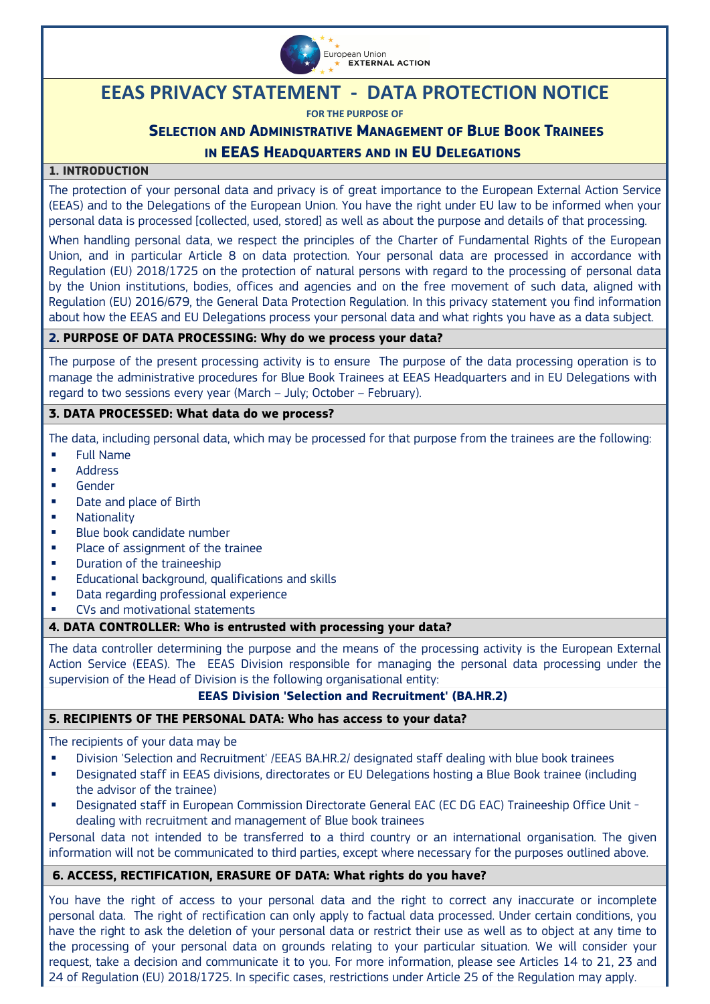

# **EEAS PRIVACY STATEMENT - DATA PROTECTION NOTICE**

**FOR THE PURPOSE OF**

## **SELECTION AND ADMINISTRATIVE MANAGEMENT OF BLUE BOOK TRAINEES IN EEAS HEADQUARTERS AND IN EU DELEGATIONS**

## **1. INTRODUCTION**

The protection of your personal data and privacy is of great importance to the European External Action Service (EEAS) and to the Delegations of the European Union. You have the right under EU law to be informed when your personal data is processed [collected, used, stored] as well as about the purpose and details of that processing.

When handling personal data, we respect the principles of the Charter of Fundamental Rights of the European Union, and in particular Article 8 on data protection. Your personal data are processed in accordance with Regulation (EU) 2018/1725 on the protection of natural persons with regard to the processing of personal data by the Union institutions, bodies, offices and agencies and on the free movement of such data, aligned with Regulation (EU) 2016/679, the General Data Protection Regulation. In this privacy statement you find information about how the EEAS and EU Delegations process your personal data and what rights you have as a data subject.

#### **2. PURPOSE OF DATA PROCESSING: Why do we process your data?**

The purpose of the present processing activity is to ensure The purpose of the data processing operation is to manage the administrative procedures for Blue Book Trainees at EEAS Headquarters and in EU Delegations with regard to two sessions every year (March – July; October – February).

## **3. DATA PROCESSED: What data do we process?**

The data, including personal data, which may be processed for that purpose from the trainees are the following:

- Full Name
- **Address**
- Gender
- Date and place of Birth
- **Nationality**
- Blue book candidate number
- **Place of assignment of the trainee**
- **•** Duration of the traineeship
- Educational background, qualifications and skills
- Data regarding professional experience
- CVs and motivational statements

#### **4. DATA CONTROLLER: Who is entrusted with processing your data?**

The data controller determining the purpose and the means of the processing activity is the European External Action Service (EEAS). The EEAS Division responsible for managing the personal data processing under the supervision of the Head of Division is the following organisational entity:

#### **EEAS Division 'Selection and Recruitment' (BA.HR.2)**

#### **5. RECIPIENTS OF THE PERSONAL DATA: Who has access to your data?**

The recipients of your data may be

- Division 'Selection and Recruitment' /EEAS BA.HR.2/ designated staff dealing with blue book trainees
- Designated staff in EEAS divisions, directorates or EU Delegations hosting a Blue Book trainee (including the advisor of the trainee)
- Designated staff in European Commission Directorate General EAC (EC DG EAC) Traineeship Office Unit dealing with recruitment and management of Blue book trainees

Personal data not intended to be transferred to a third country or an international organisation. The given information will not be communicated to third parties, except where necessary for the purposes outlined above.

#### **6. ACCESS, RECTIFICATION, ERASURE OF DATA: What rights do you have?**

You have the right of access to your personal data and the right to correct any inaccurate or incomplete personal data. The right of rectification can only apply to factual data processed. Under certain conditions, you have the right to ask the deletion of your personal data or restrict their use as well as to object at any time to the processing of your personal data on grounds relating to your particular situation. We will consider your request, take a decision and communicate it to you. For more information, please see Articles 14 to 21, 23 and 24 of Regulation (EU) 2018/1725. In specific cases, restrictions under Article 25 of the Regulation may apply.